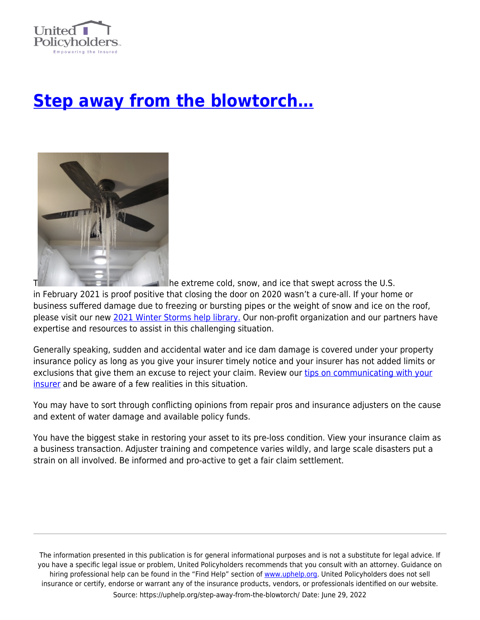

## **[Step away from the blowtorch…](https://uphelp.org/step-away-from-the-blowtorch/)**



 $\blacksquare$  he extreme cold, snow, and ice that swept across the U.S.

in February 2021 is proof positive that closing the door on 2020 wasn't a cure-all. If your home or business suffered damage due to freezing or bursting pipes or the weight of snow and ice on the roof, please visit our new [2021 Winter Storms help library.](https://uphelp.org/disaster-recovery-help/2021-winter-storms/) Our non-profit organization and our partners have expertise and resources to assist in this challenging situation.

Generally speaking, sudden and accidental water and ice dam damage is covered under your property insurance policy as long as you give your insurer timely notice and your insurer has not added limits or exclusions that give them an excuse to reject your claim. Review our [tips on communicating with your](http://www.uphelp.org/speakup) [insurer](http://www.uphelp.org/speakup) and be aware of a few realities in this situation.

You may have to sort through conflicting opinions from repair pros and insurance adjusters on the cause and extent of water damage and available policy funds.

You have the biggest stake in restoring your asset to its pre-loss condition. View your insurance claim as a business transaction. Adjuster training and competence varies wildly, and large scale disasters put a strain on all involved. Be informed and pro-active to get a fair claim settlement.

The information presented in this publication is for general informational purposes and is not a substitute for legal advice. If you have a specific legal issue or problem, United Policyholders recommends that you consult with an attorney. Guidance on hiring professional help can be found in the "Find Help" section of [www.uphelp.org.](http://www.uphelp.org/) United Policyholders does not sell insurance or certify, endorse or warrant any of the insurance products, vendors, or professionals identified on our website. Source: https://uphelp.org/step-away-from-the-blowtorch/ Date: June 29, 2022